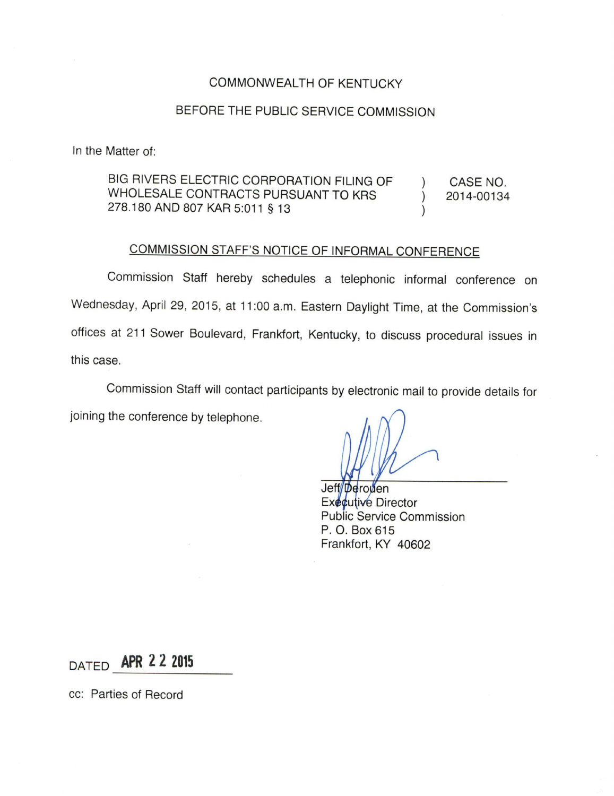## COMMONWEALTH OF KENTUCKY

## BEFORE THE PUBLIC SERVICE COMMISSION

In the Matter of:

BIG RIVERS ELECTRIC CORPORATION FILING OF WHOLESALE CONTRACTS PURSUANT TO KRS 278.180 AND 807 KAR 5:011 § 13 ) CASE NO. ) 2014-00134 )

## COMMISSION STAFF'S NOTICE OF INFORMAL CONFERENCE

Commission Staff hereby schedules a telephonic informal conference on Wednesday, April 29, 2015, at 11:00 a.m. Eastern Daylight Time, at the Commission's offices at 211 Sower Boulevard, Frankfort, Kentucky, to discuss procedural issues in this case.

Commission Staff will contact participants by electronic mail to provide details for joining the conference by telephone.

Jeff Derouen Executive Director Public Service Commission P. O. Box 615 Frankfort, KY 40602

DATED APR 22 <sup>2015</sup>

cc: Parties of Record